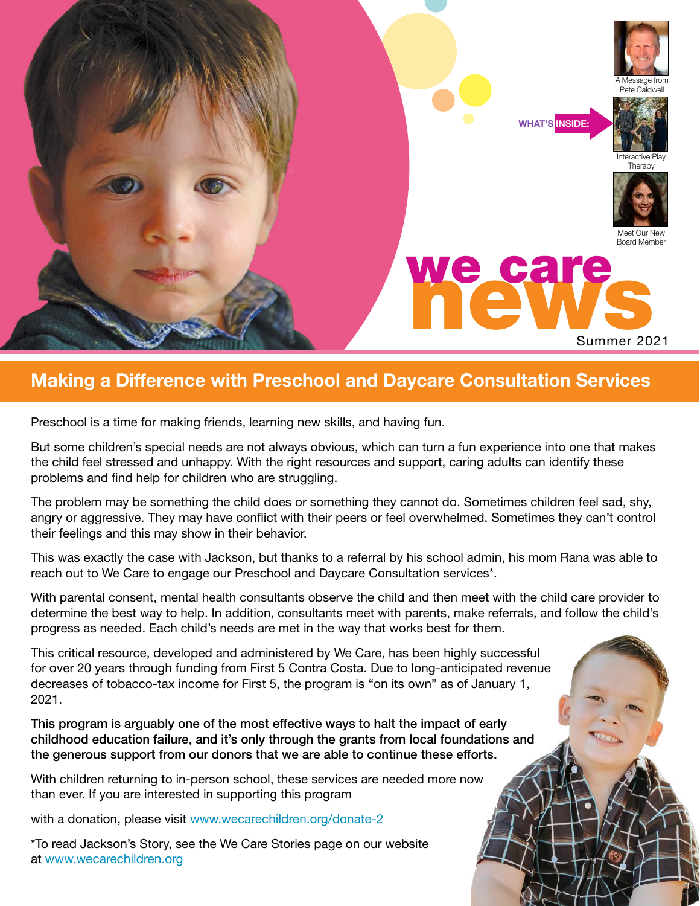

## **Making a Difference with Preschool and Daycare Consultation Services**

Preschool is a time for making friends, learning new skills, and having fun.

But some children's special needs are not always obvious, which can turn a fun experience into one that makes the child feel stressed and unhappy. With the right resources and support, caring adults can identify these problems and find help for children who are struggling.

The problem may be something the child does or something they cannot do. Sometimes children feel sad, shy, angry or aggressive. They may have conflict with their peers or feel overwhelmed. Sometimes they can't control their feelings and this may show in their behavior.

This was exactly the case with Jackson, but thanks to a referral by his school admin, his mom Rana was able to reach out to We Care to engage our Preschool and Daycare Consultation services\*.

With parental consent, mental health consultants observe the child and then meet with the child care provider to determine the best way to help. In addition, consultants meet with parents, make referrals, and follow the child's progress as needed. Each child's needs are met in the way that works best for them.

This critical resource, developed and administered by We Care, has been highly successful for over 20 years through funding from First 5 Contra Costa. Due to long-anticipated revenue decreases of tobacco-tax income for First 5, the program is "on its own" as of January 1, 2021.

This program is arguably one of the most effective ways to halt the impact of early childhood education failure, and it's only through the grants from local foundations and the generous support from our donors that we are able to continue these efforts.

With children returning to in-person school, these services are needed more now than ever. If you are interested in supporting this program

with a donation, please visit [www.wecarechildren.org/donate-2](http://www.wecarechildren.org/donate-2)

\*To read Jackson's Story, see the We Care Stories page on our website at [www.wecarechildren.org](http://www.wecarechildren.org )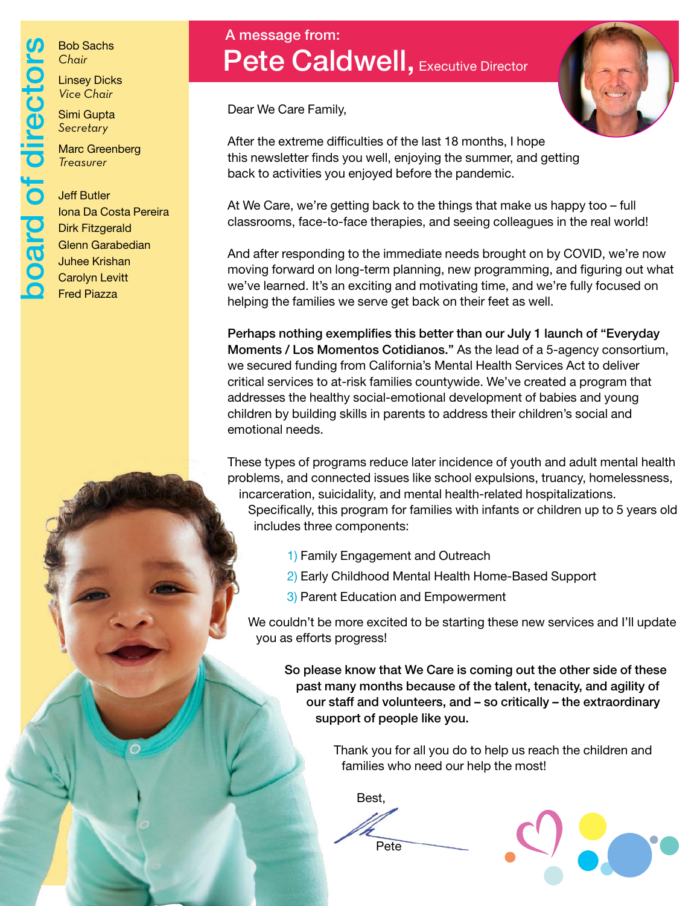board of directors Bob Sachs *Chair* poard of directo

Linsey Dicks *Vice Chair*

Simi Gupta *Secretary* 

Marc Greenberg *Treasurer*

#### Jeff Butler Iona Da Costa Pereira Dirk Fitzgerald Glenn Garabedian Juhee Krishan Carolyn Levitt Fred Piazza

# Pete Caldwell, Executive Director A message from:

Dear We Care Family,

After the extreme difficulties of the last 18 months, I hope this newsletter finds you well, enjoying the summer, and getting back to activities you enjoyed before the pandemic.

At We Care, we're getting back to the things that make us happy too – full classrooms, face-to-face therapies, and seeing colleagues in the real world!

And after responding to the immediate needs brought on by COVID, we're now moving forward on long-term planning, new programming, and figuring out what we've learned. It's an exciting and motivating time, and we're fully focused on helping the families we serve get back on their feet as well.

Perhaps nothing exemplifies this better than our July 1 launch of "Everyday Moments / Los Momentos Cotidianos." As the lead of a 5-agency consortium, we secured funding from California's Mental Health Services Act to deliver critical services to at-risk families countywide. We've created a program that addresses the healthy social-emotional development of babies and young children by building skills in parents to address their children's social and emotional needs.

These types of programs reduce later incidence of youth and adult mental health problems, and connected issues like school expulsions, truancy, homelessness, incarceration, suicidality, and mental health-related hospitalizations.

Specifically, this program for families with infants or children up to 5 years old includes three components:

- 1) Family Engagement and Outreach
- 2) Early Childhood Mental Health Home-Based Support
- 3) Parent Education and Empowerment

We couldn't be more excited to be starting these new services and I'll update you as efforts progress!

So please know that We Care is coming out the other side of these past many months because of the talent, tenacity, and agility of our staff and volunteers, and – so critically – the extraordinary support of people like you.

> Thank you for all you do to help us reach the children and families who need our help the most!

Best,

Pete



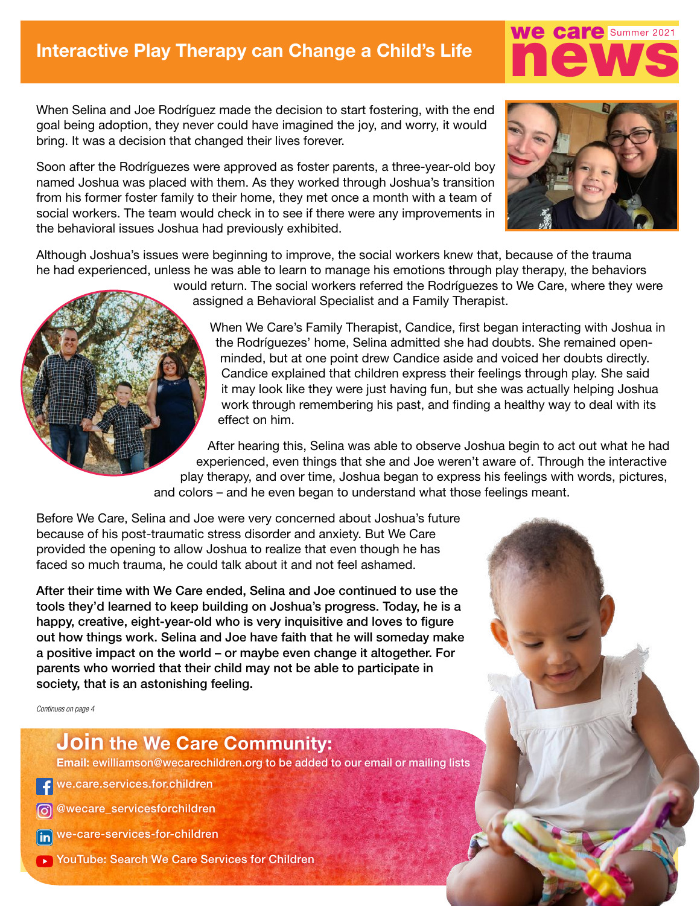When Selina and Joe Rodríguez made the decision to start fostering, with the end goal being adoption, they never could have imagined the joy, and worry, it would bring. It was a decision that changed their lives forever.

Soon after the Rodríguezes were approved as foster parents, a three-year-old boy named Joshua was placed with them. As they worked through Joshua's transition from his former foster family to their home, they met once a month with a team of social workers. The team would check in to see if there were any improvements in the behavioral issues Joshua had previously exhibited.



we care Summer 2021

Although Joshua's issues were beginning to improve, the social workers knew that, because of the trauma he had experienced, unless he was able to learn to manage his emotions through play therapy, the behaviors

would return. The social workers referred the Rodríguezes to We Care, where they were assigned a Behavioral Specialist and a Family Therapist.

When We Care's Family Therapist, Candice, first began interacting with Joshua in the Rodríguezes' home, Selina admitted she had doubts. She remained openminded, but at one point drew Candice aside and voiced her doubts directly. Candice explained that children express their feelings through play. She said it may look like they were just having fun, but she was actually helping Joshua work through remembering his past, and finding a healthy way to deal with its effect on him.

After hearing this, Selina was able to observe Joshua begin to act out what he had experienced, even things that she and Joe weren't aware of. Through the interactive play therapy, and over time, Joshua began to express his feelings with words, pictures, and colors – and he even began to understand what those feelings meant.

Before We Care, Selina and Joe were very concerned about Joshua's future because of his post-traumatic stress disorder and anxiety. But We Care provided the opening to allow Joshua to realize that even though he has faced so much trauma, he could talk about it and not feel ashamed.

After their time with We Care ended, Selina and Joe continued to use the tools they'd learned to keep building on Joshua's progress. Today, he is a happy, creative, eight-year-old who is very inquisitive and loves to figure out how things work. Selina and Joe have faith that he will someday make a positive impact on the world – or maybe even change it altogether. For parents who worried that their child may not be able to participate in society, that is an astonishing feeling.

*Continues on page 4*

### **Join the We Care Community:**

**Email:** ewilliamson@wecarechildren.org to be added to our email or mailing lists

we.care.services.for.children

@wecare\_servicesforchildren

we-care-services-for-children **fin** 

▶ YouTube: Search We Care Services for Children